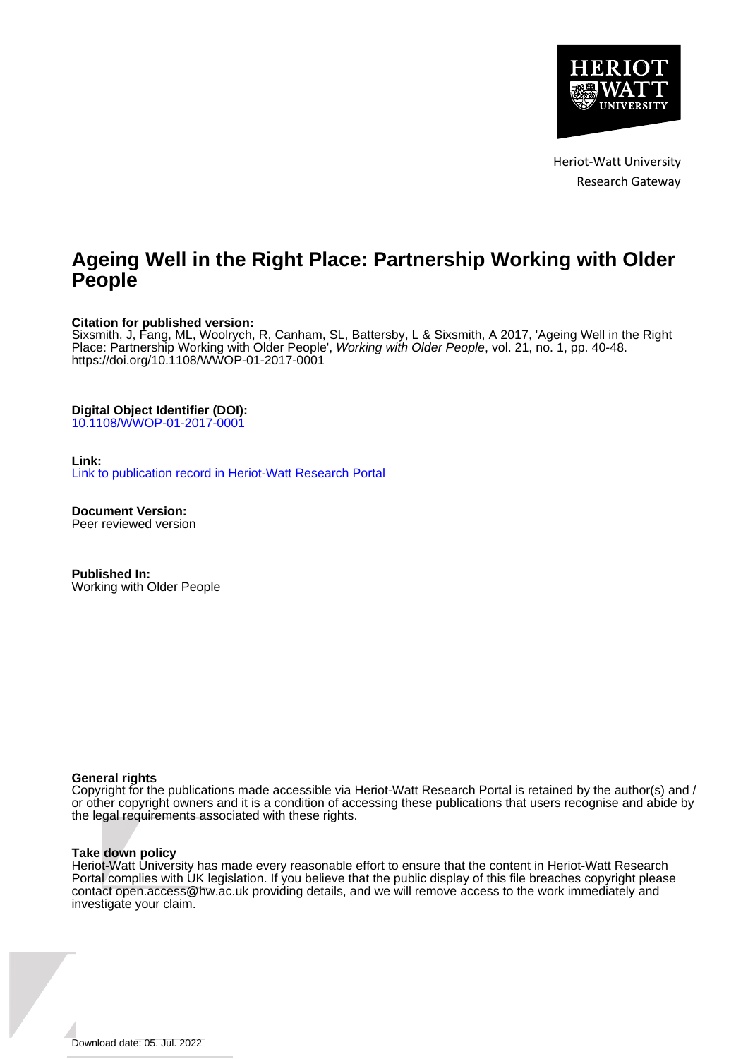

Heriot-Watt University Research Gateway

## **Ageing Well in the Right Place: Partnership Working with Older People**

### **Citation for published version:**

Sixsmith, J, Fang, ML, Woolrych, R, Canham, SL, Battersby, L & Sixsmith, A 2017, 'Ageing Well in the Right Place: Partnership Working with Older People', Working with Older People, vol. 21, no. 1, pp. 40-48. <https://doi.org/10.1108/WWOP-01-2017-0001>

### **Digital Object Identifier (DOI):**

[10.1108/WWOP-01-2017-0001](https://doi.org/10.1108/WWOP-01-2017-0001)

### **Link:**

[Link to publication record in Heriot-Watt Research Portal](https://researchportal.hw.ac.uk/en/publications/e6fd3d37-b3d2-42b0-86ac-797393f1d347)

**Document Version:** Peer reviewed version

**Published In:** Working with Older People

### **General rights**

Copyright for the publications made accessible via Heriot-Watt Research Portal is retained by the author(s) and / or other copyright owners and it is a condition of accessing these publications that users recognise and abide by the legal requirements associated with these rights.

### **Take down policy**

Heriot-Watt University has made every reasonable effort to ensure that the content in Heriot-Watt Research Portal complies with UK legislation. If you believe that the public display of this file breaches copyright please contact open.access@hw.ac.uk providing details, and we will remove access to the work immediately and investigate your claim.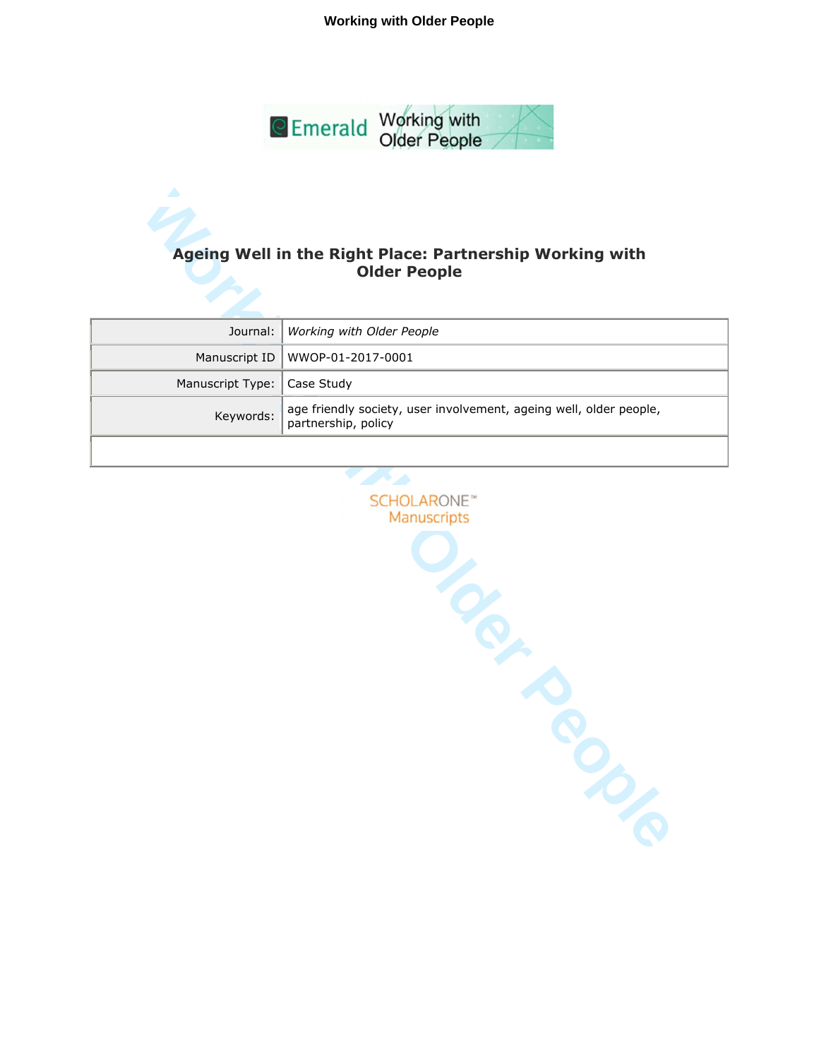### **Working with Older People**



# **Older People**

|                               | Journal:   Working with Older People                                                                       |
|-------------------------------|------------------------------------------------------------------------------------------------------------|
|                               | Manuscript ID   WWOP-01-2017-0001                                                                          |
| Manuscript Type:   Case Study |                                                                                                            |
|                               | Keywords: age friendly society, user involvement, ageing well, older people, keywords: partnership, policy |
|                               |                                                                                                            |

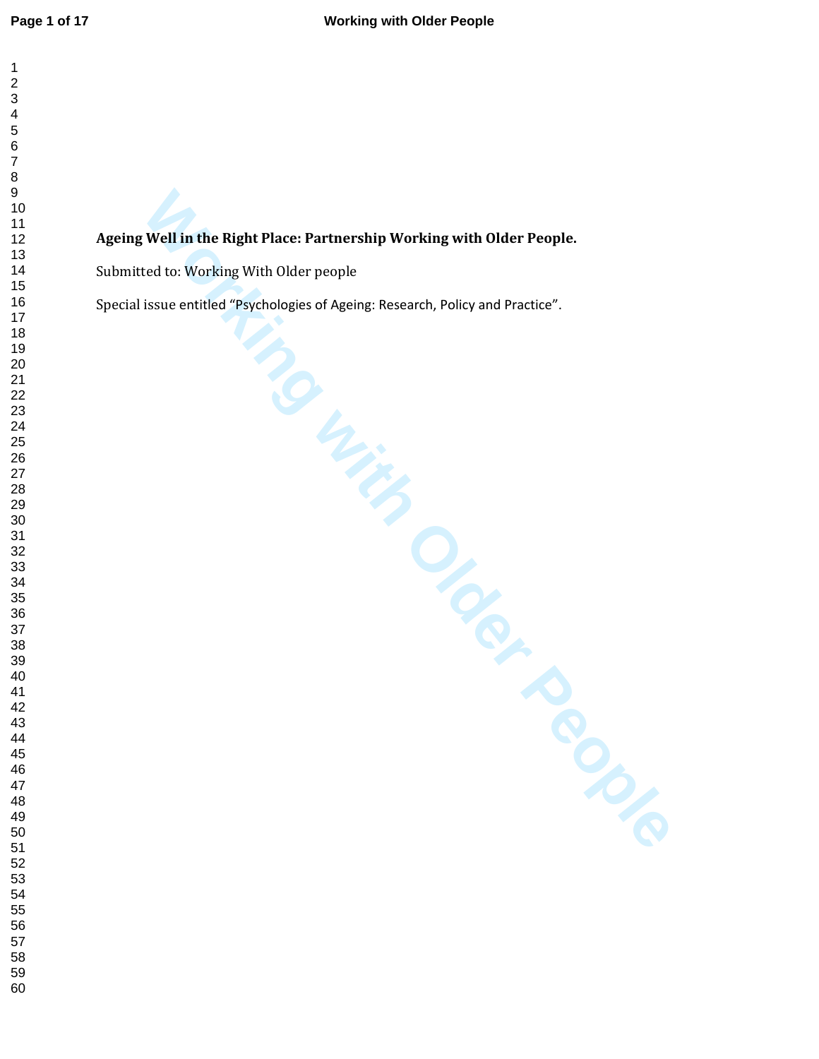### 

# Well in the Right Place: Partnership Working with Older People.<br>
ted to: Working With Older people<br>
issue entitled "Psychologies of Ageing: Research, Policy and Practice".<br>
All the second Protice and Practice".<br>
All the se **Ageing Well in the Right Place: Partnership Working with Older People.**

Submitted to: Working With Older people

Special issue entitled "Psychologies of Ageing: Research, Policy and Practice".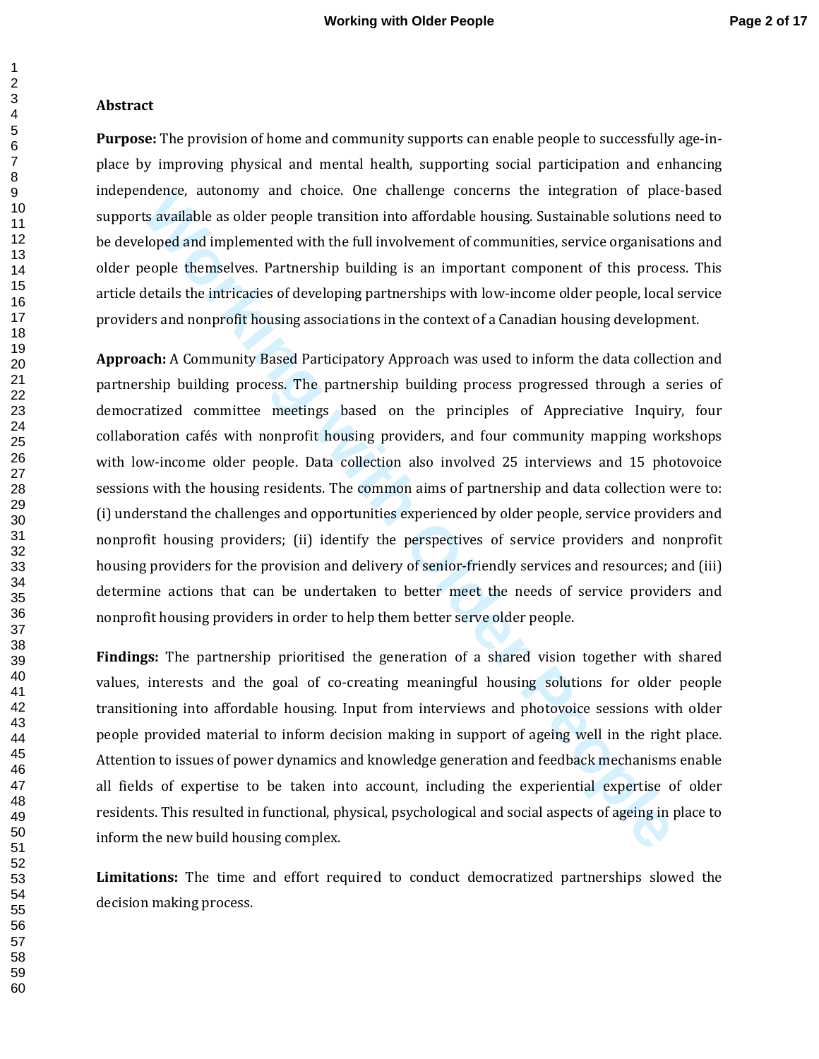### **Abstract**

**Purpose:** The provision of home and community supports can enable people to successfully age-inplace by improving physical and mental health, supporting social participation and enhancing independence, autonomy and choice. One challenge concerns the integration of place-based supports available as older people transition into affordable housing. Sustainable solutions need to be developed and implemented with the full involvement of communities, service organisations and older people themselves. Partnership building is an important component of this process. This article details the intricacies of developing partnerships with low-income older people, local service providers and nonprofit housing associations in the context of a Canadian housing development.

ndence, autonomy and choice. One challenge concerns the integration of place<br>is available as older poople ramstition this offordable housing. Sustimable solutions<br>sloped and implemented with the full involvement of communi **Approach:** A Community Based Participatory Approach was used to inform the data collection and partnership building process. The partnership building process progressed through a series of democratized committee meetings based on the principles of Appreciative Inquiry, four collaboration cafés with nonprofit housing providers, and four community mapping workshops with low-income older people. Data collection also involved 25 interviews and 15 photovoice sessions with the housing residents. The common aims of partnership and data collection were to: (i) understand the challenges and opportunities experienced by older people, service providers and nonprofit housing providers; (ii) identify the perspectives of service providers and nonprofit housing providers for the provision and delivery of senior-friendly services and resources; and (iii) determine actions that can be undertaken to better meet the needs of service providers and nonprofit housing providers in order to help them better serve older people.

**Findings:** The partnership prioritised the generation of a shared vision together with shared values, interests and the goal of co-creating meaningful housing solutions for older people transitioning into affordable housing. Input from interviews and photovoice sessions with older people provided material to inform decision making in support of ageing well in the right place. Attention to issues of power dynamics and knowledge generation and feedback mechanisms enable all fields of expertise to be taken into account, including the experiential expertise of older residents. This resulted in functional, physical, psychological and social aspects of ageing in place to inform the new build housing complex.

**Limitations:** The time and effort required to conduct democratized partnerships slowed the decision making process.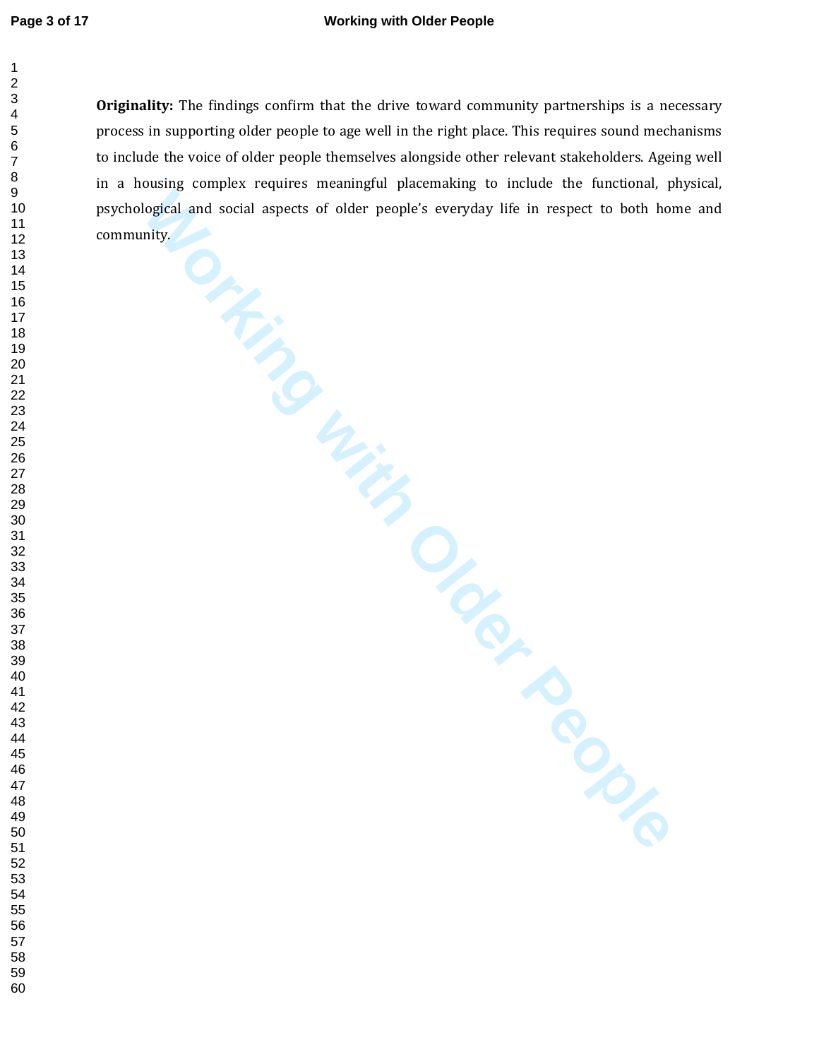### **Page 3 of 17 Working with Older People**

**We consider a spects of older people's everyday life in respect to both home consideration of older people's everyday life in respect to both home constrainty. Originality:** The findings confirm that the drive toward community partnerships is a necessary process in supporting older people to age well in the right place. This requires sound mechanisms to include the voice of older people themselves alongside other relevant stakeholders. Ageing well in a housing complex requires meaningful placemaking to include the functional, physical, psychological and social aspects of older people's everyday life in respect to both home and community.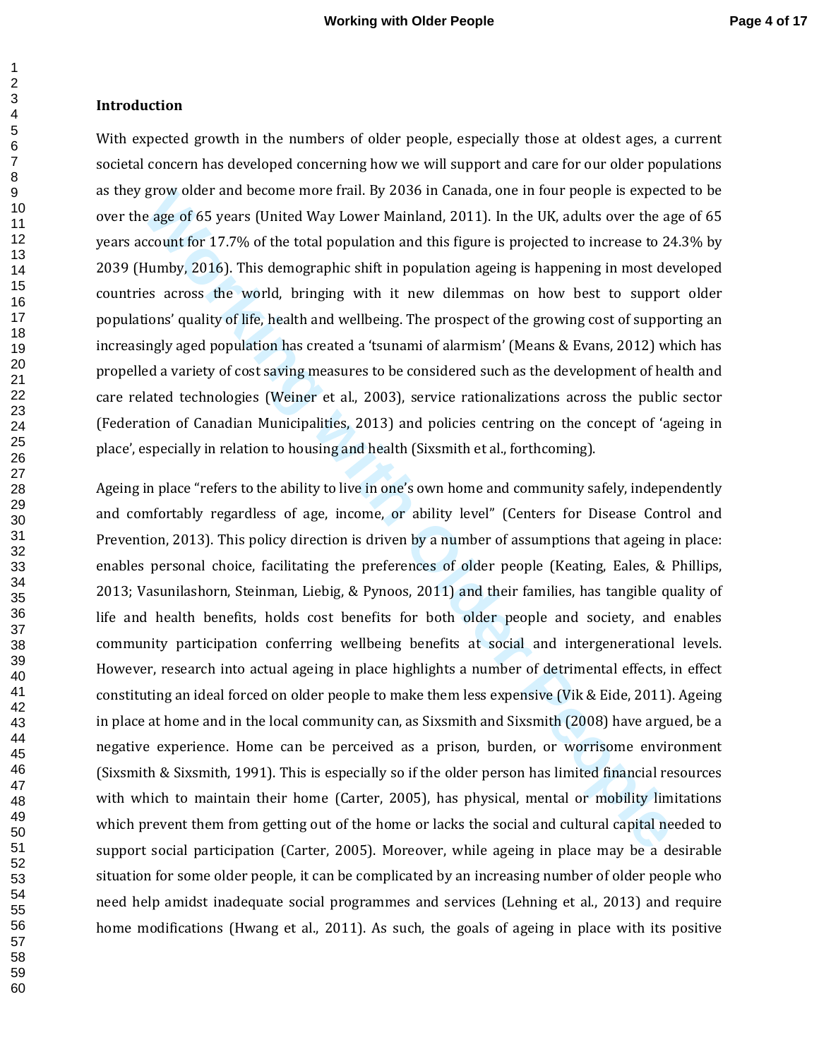### **Introduction**

With expected growth in the numbers of older people, especially those at oldest ages, a current societal concern has developed concerning how we will support and care for our older populations as they grow older and become more frail. By 2036 in Canada, one in four people is expected to be over the age of 65 years (United Way Lower Mainland, 2011). In the UK, adults over the age of 65 years account for 17.7% of the total population and this figure is projected to increase to 24.3% by 2039 (Humby, 2016). This demographic shift in population ageing is happening in most developed countries across the world, bringing with it new dilemmas on how best to support older populations' quality of life, health and wellbeing. The prospect of the growing cost of supporting an increasingly aged population has created a 'tsunami of alarmism' (Means & Evans, 2012) which has propelled a variety of cost saving measures to be considered such as the development of health and care related technologies (Weiner et al., 2003), service rationalizations across the public sector (Federation of Canadian Municipalities, 2013) and policies centring on the concept of 'ageing in place', especially in relation to housing and health (Sixsmith et al., forthcoming).

**Earth of Synchroot** and become more trail. By 2036 in Canada, one in four people is expected<br>count for 5 years (United Way Lower Mainhol, 2011). In the UK, adults over the age of 65 years (United Way Lover that and the in Ageing in place "refers to the ability to live in one's own home and community safely, independently and comfortably regardless of age, income, or ability level" (Centers for Disease Control and Prevention, 2013). This policy direction is driven by a number of assumptions that ageing in place: enables personal choice, facilitating the preferences of older people (Keating, Eales, & Phillips, 2013; Vasunilashorn, Steinman, Liebig, & Pynoos, 2011) and their families, has tangible quality of life and health benefits, holds cost benefits for both older people and society, and enables community participation conferring wellbeing benefits at social and intergenerational levels. However, research into actual ageing in place highlights a number of detrimental effects, in effect constituting an ideal forced on older people to make them less expensive (Vik & Eide, 2011). Ageing in place at home and in the local community can, as Sixsmith and Sixsmith (2008) have argued, be a negative experience. Home can be perceived as a prison, burden, or worrisome environment (Sixsmith & Sixsmith, 1991). This is especially so if the older person has limited financial resources with which to maintain their home (Carter, 2005), has physical, mental or mobility limitations which prevent them from getting out of the home or lacks the social and cultural capital needed to support social participation (Carter, 2005). Moreover, while ageing in place may be a desirable situation for some older people, it can be complicated by an increasing number of older people who need help amidst inadequate social programmes and services (Lehning et al., 2013) and require home modifications (Hwang et al., 2011). As such, the goals of ageing in place with its positive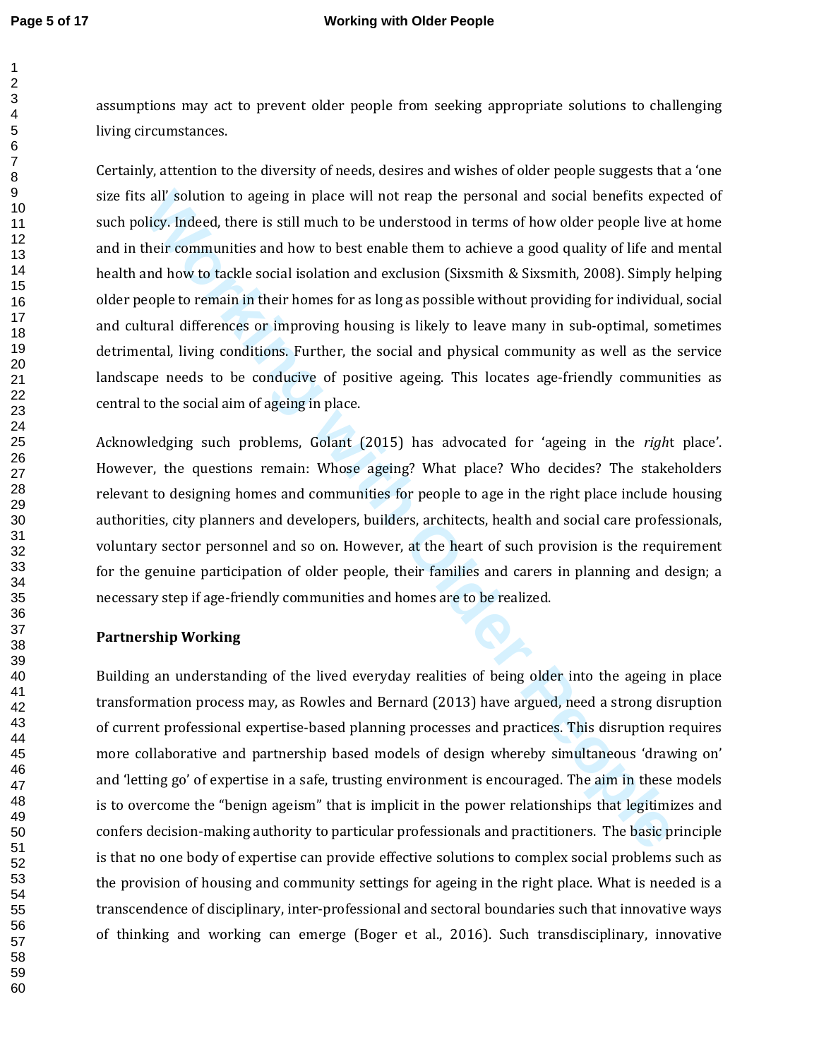### **Page 5 of 17 Working with Older People**

assumptions may act to prevent older people from seeking appropriate solutions to challenging living circumstances.

**Sall'** solution to ageing in place will not reap the personal and social benefits expelicy. Indeed, there is still much to be understood in terms of how older people live and how to best callo them to be understood in ter Certainly, attention to the diversity of needs, desires and wishes of older people suggests that a 'one size fits all' solution to ageing in place will not reap the personal and social benefits expected of such policy. Indeed, there is still much to be understood in terms of how older people live at home and in their communities and how to best enable them to achieve a good quality of life and mental health and how to tackle social isolation and exclusion (Sixsmith & Sixsmith, 2008). Simply helping older people to remain in their homes for as long as possible without providing for individual, social and cultural differences or improving housing is likely to leave many in sub-optimal, sometimes detrimental, living conditions. Further, the social and physical community as well as the service landscape needs to be conducive of positive ageing. This locates age-friendly communities as central to the social aim of ageing in place.

Acknowledging such problems, Golant (2015) has advocated for 'ageing in the *righ*t place'. However, the questions remain: Whose ageing? What place? Who decides? The stakeholders relevant to designing homes and communities for people to age in the right place include housing authorities, city planners and developers, builders, architects, health and social care professionals, voluntary sector personnel and so on. However, at the heart of such provision is the requirement for the genuine participation of older people, their families and carers in planning and design; a necessary step if age-friendly communities and homes are to be realized.

### **Partnership Working**

Building an understanding of the lived everyday realities of being older into the ageing in place transformation process may, as Rowles and Bernard (2013) have argued, need a strong disruption of current professional expertise-based planning processes and practices. This disruption requires more collaborative and partnership based models of design whereby simultaneous 'drawing on' and 'letting go' of expertise in a safe, trusting environment is encouraged. The aim in these models is to overcome the "benign ageism" that is implicit in the power relationships that legitimizes and confers decision-making authority to particular professionals and practitioners. The basic principle is that no one body of expertise can provide effective solutions to complex social problems such as the provision of housing and community settings for ageing in the right place. What is needed is a transcendence of disciplinary, inter-professional and sectoral boundaries such that innovative ways of thinking and working can emerge (Boger et al., 2016). Such transdisciplinary, innovative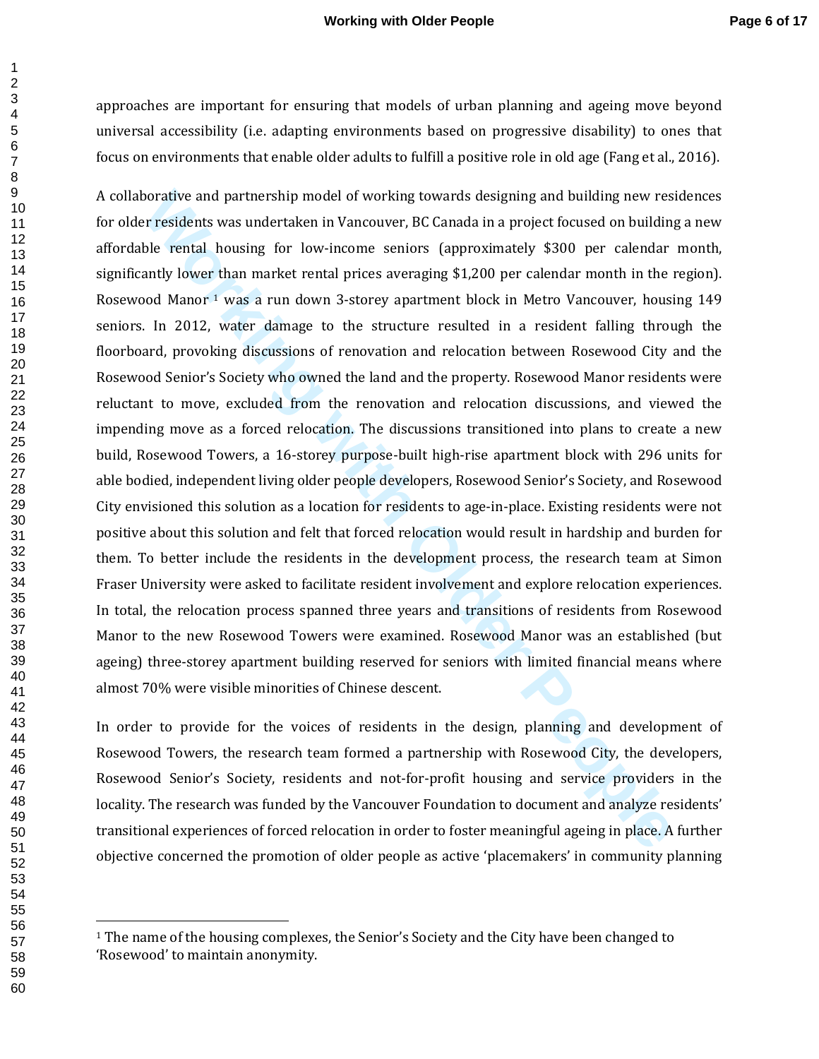approaches are important for ensuring that models of urban planning and ageing move beyond universal accessibility (i.e. adapting environments based on progressive disability) to ones that focus on environments that enable older adults to fulfill a positive role in old age (Fang et al., 2016).

borative and partnership model of working towards designing and building new rest presidents was undertaken in Vancouver, BC Canada in a project focused on building<br>hole rental housting for low-income escints (approximatel A collaborative and partnership model of working towards designing and building new residences for older residents was undertaken in Vancouver, BC Canada in a project focused on building a new affordable rental housing for low-income seniors (approximately \$300 per calendar month, significantly lower than market rental prices averaging \$1,200 per calendar month in the region). Rosewood Manor 1 was a run down 3-storey apartment block in Metro Vancouver, housing 149 seniors. In 2012, water damage to the structure resulted in a resident falling through the floorboard, provoking discussions of renovation and relocation between Rosewood City and the Rosewood Senior's Society who owned the land and the property. Rosewood Manor residents were reluctant to move, excluded from the renovation and relocation discussions, and viewed the impending move as a forced relocation. The discussions transitioned into plans to create a new build, Rosewood Towers, a 16-storey purpose-built high-rise apartment block with 296 units for able bodied, independent living older people developers, Rosewood Senior's Society, and Rosewood City envisioned this solution as a location for residents to age-in-place. Existing residents were not positive about this solution and felt that forced relocation would result in hardship and burden for them. To better include the residents in the development process, the research team at Simon Fraser University were asked to facilitate resident involvement and explore relocation experiences. In total, the relocation process spanned three years and transitions of residents from Rosewood Manor to the new Rosewood Towers were examined. Rosewood Manor was an established (but ageing) three-storey apartment building reserved for seniors with limited financial means where almost 70% were visible minorities of Chinese descent.

In order to provide for the voices of residents in the design, planning and development of Rosewood Towers, the research team formed a partnership with Rosewood City, the developers, Rosewood Senior's Society, residents and not-for-profit housing and service providers in the locality. The research was funded by the Vancouver Foundation to document and analyze residents' transitional experiences of forced relocation in order to foster meaningful ageing in place. A further objective concerned the promotion of older people as active 'placemakers' in community planning

 $\overline{a}$ 

<sup>&</sup>lt;sup>1</sup> The name of the housing complexes, the Senior's Society and the City have been changed to 'Rosewood' to maintain anonymity.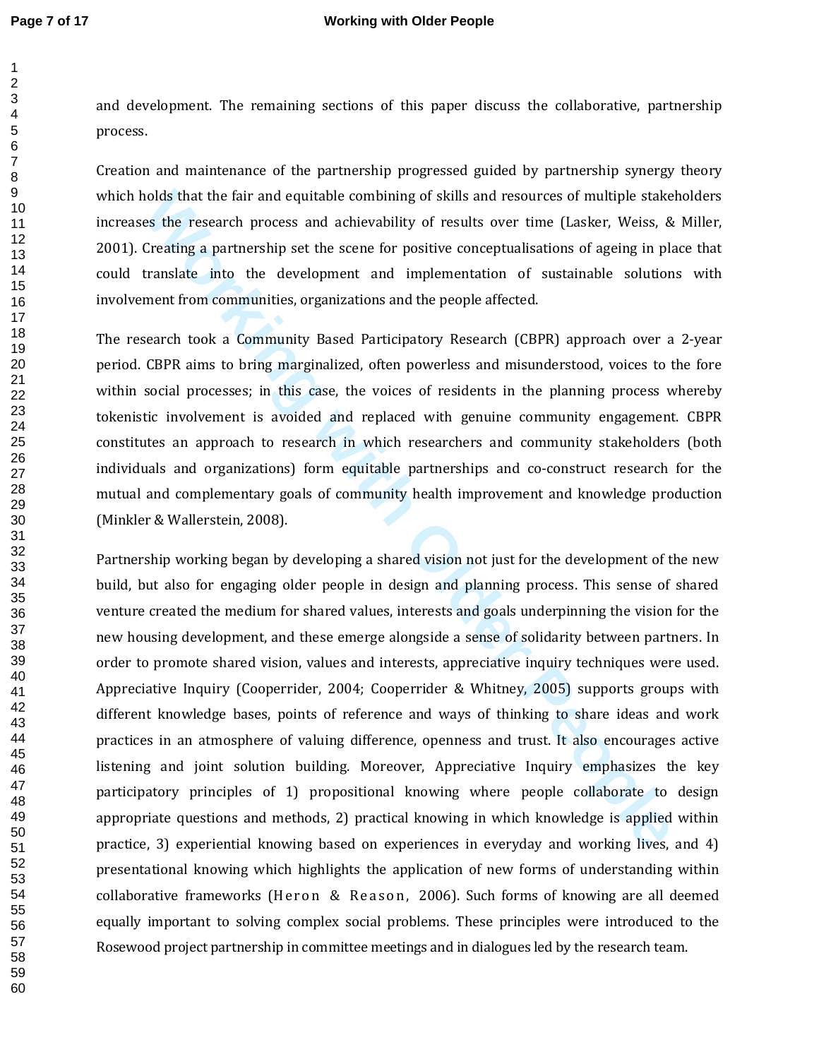### **Page 7 of 17 Working with Older People**

and development. The remaining sections of this paper discuss the collaborative, partnership process.

Creation and maintenance of the partnership progressed guided by partnership synergy theory which holds that the fair and equitable combining of skills and resources of multiple stakeholders increases the research process and achievability of results over time (Lasker, Weiss, & Miller, 2001). Creating a partnership set the scene for positive conceptualisations of ageing in place that could translate into the development and implementation of sustainable solutions with involvement from communities, organizations and the people affected.

The research took a Community Based Participatory Research (CBPR) approach over a 2-year period. CBPR aims to bring marginalized, often powerless and misunderstood, voices to the fore within social processes; in this case, the voices of residents in the planning process whereby tokenistic involvement is avoided and replaced with genuine community engagement. CBPR constitutes an approach to research in which researchers and community stakeholders (both individuals and organizations) form equitable partnerships and co-construct research for the mutual and complementary goals of community health improvement and knowledge production (Minkler & Wallerstein, 2008).

holds that the fair and equitable combining of skills and resources of multiple stake<br>es the research process and achievability of results over time (Lasker, Weiss, &<br>Creating a partnership set the scene for positive conce Partnership working began by developing a shared vision not just for the development of the new build, but also for engaging older people in design and planning process. This sense of shared venture created the medium for shared values, interests and goals underpinning the vision for the new housing development, and these emerge alongside a sense of solidarity between partners. In order to promote shared vision, values and interests, appreciative inquiry techniques were used. Appreciative Inquiry (Cooperrider, 2004; Cooperrider & Whitney, 2005) supports groups with different knowledge bases, points of reference and ways of thinking to share ideas and work practices in an atmosphere of valuing difference, openness and trust. It also encourages active listening and joint solution building. Moreover, Appreciative Inquiry emphasizes the key participatory principles of 1) propositional knowing where people collaborate to design appropriate questions and methods, 2) practical knowing in which knowledge is applied within practice, 3) experiential knowing based on experiences in everyday and working lives, and 4) presentational knowing which highlights the application of new forms of understanding within collaborative frameworks (Heron & Reason, 2006). Such forms of knowing are all deemed equally important to solving complex social problems. These principles were introduced to the Rosewood project partnership in committee meetings and in dialogues led by the research team.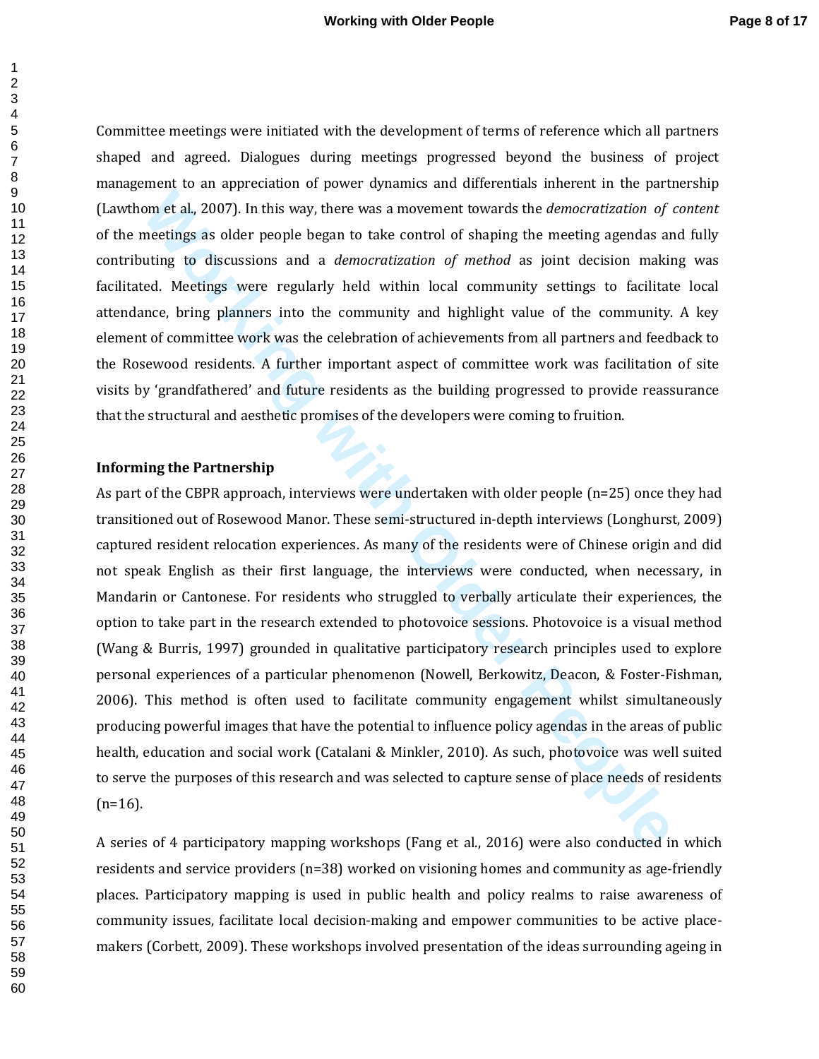Committee meetings were initiated with the development of terms of reference which all partners shaped and agreed. Dialogues during meetings progressed beyond the business of project management to an appreciation of power dynamics and differentials inherent in the partnership (Lawthom et al., 2007). In this way, there was a movement towards the *democratization of content*  of the meetings as older people began to take control of shaping the meeting agendas and fully contributing to discussions and a *democratization of method* as joint decision making was facilitated. Meetings were regularly held within local community settings to facilitate local attendance, bring planners into the community and highlight value of the community. A key element of committee work was the celebration of achievements from all partners and feedback to the Rosewood residents. A further important aspect of committee work was facilitation of site visits by 'grandfathered' and future residents as the building progressed to provide reassurance that the structural and aesthetic promises of the developers were coming to fruition.

### **Informing the Partnership**

Inom et al., 2007). In this way, there was a movement towards the *democratization* of peoplering is as older people began to take control of shaping the meeting agendas are meetings as older people began to take control As part of the CBPR approach, interviews were undertaken with older people (n=25) once they had transitioned out of Rosewood Manor. These semi-structured in-depth interviews (Longhurst, 2009) captured resident relocation experiences. As many of the residents were of Chinese origin and did not speak English as their first language, the interviews were conducted, when necessary, in Mandarin or Cantonese. For residents who struggled to verbally articulate their experiences, the option to take part in the research extended to photovoice sessions. Photovoice is a visual method (Wang & Burris, 1997) grounded in qualitative participatory research principles used to explore personal experiences of a particular phenomenon (Nowell, Berkowitz, Deacon, & Foster-Fishman, 2006). This method is often used to facilitate community engagement whilst simultaneously producing powerful images that have the potential to influence policy agendas in the areas of public health, education and social work (Catalani & Minkler, 2010). As such, photovoice was well suited to serve the purposes of this research and was selected to capture sense of place needs of residents  $(n=16)$ .

A series of 4 participatory mapping workshops (Fang et al., 2016) were also conducted in which residents and service providers (n=38) worked on visioning homes and community as age-friendly places. Participatory mapping is used in public health and policy realms to raise awareness of community issues, facilitate local decision-making and empower communities to be active placemakers (Corbett, 2009). These workshops involved presentation of the ideas surrounding ageing in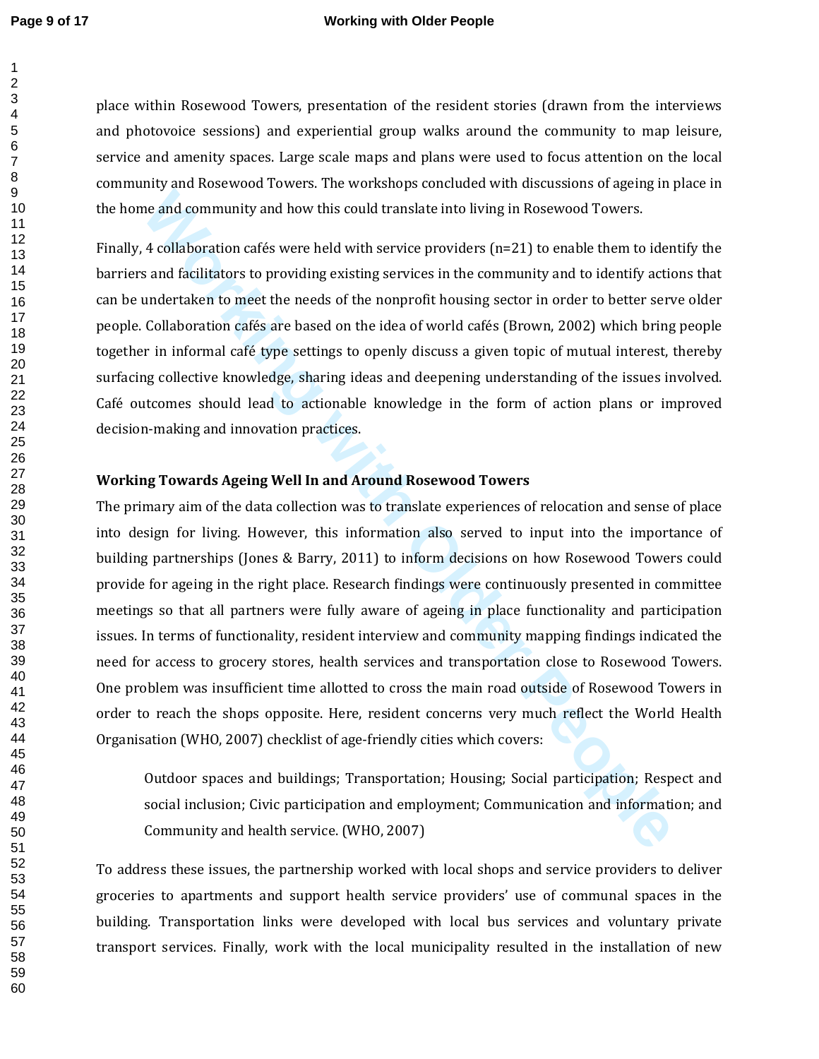### **Page 9 of 17 Working with Older People**

place within Rosewood Towers, presentation of the resident stories (drawn from the interviews and photovoice sessions) and experiential group walks around the community to map leisure, service and amenity spaces. Large scale maps and plans were used to focus attention on the local community and Rosewood Towers. The workshops concluded with discussions of ageing in place in the home and community and how this could translate into living in Rosewood Towers.

Finally, 4 collaboration cafés were held with service providers (n=21) to enable them to identify the barriers and facilitators to providing existing services in the community and to identify actions that can be undertaken to meet the needs of the nonprofit housing sector in order to better serve older people. Collaboration cafés are based on the idea of world cafés (Brown, 2002) which bring people together in informal café type settings to openly discuss a given topic of mutual interest, thereby surfacing collective knowledge, sharing ideas and deepening understanding of the issues involved. Café outcomes should lead to actionable knowledge in the form of action plans or improved decision-making and innovation practices.

### **Working Towards Ageing Well In and Around Rosewood Towers**

**EXECTS WATER WATER CONDUCTS CONDUCTS CONDUCTS** and information and information and information contests were held with service providers (n=21) to enable them to ider<br>such facilitations to providing existing services in t The primary aim of the data collection was to translate experiences of relocation and sense of place into design for living. However, this information also served to input into the importance of building partnerships (Jones & Barry, 2011) to inform decisions on how Rosewood Towers could provide for ageing in the right place. Research findings were continuously presented in committee meetings so that all partners were fully aware of ageing in place functionality and participation issues. In terms of functionality, resident interview and community mapping findings indicated the need for access to grocery stores, health services and transportation close to Rosewood Towers. One problem was insufficient time allotted to cross the main road outside of Rosewood Towers in order to reach the shops opposite. Here, resident concerns very much reflect the World Health Organisation (WHO, 2007) checklist of age-friendly cities which covers:

Outdoor spaces and buildings; Transportation; Housing; Social participation; Respect and social inclusion; Civic participation and employment; Communication and information; and Community and health service. (WHO, 2007)

To address these issues, the partnership worked with local shops and service providers to deliver groceries to apartments and support health service providers' use of communal spaces in the building. Transportation links were developed with local bus services and voluntary private transport services. Finally, work with the local municipality resulted in the installation of new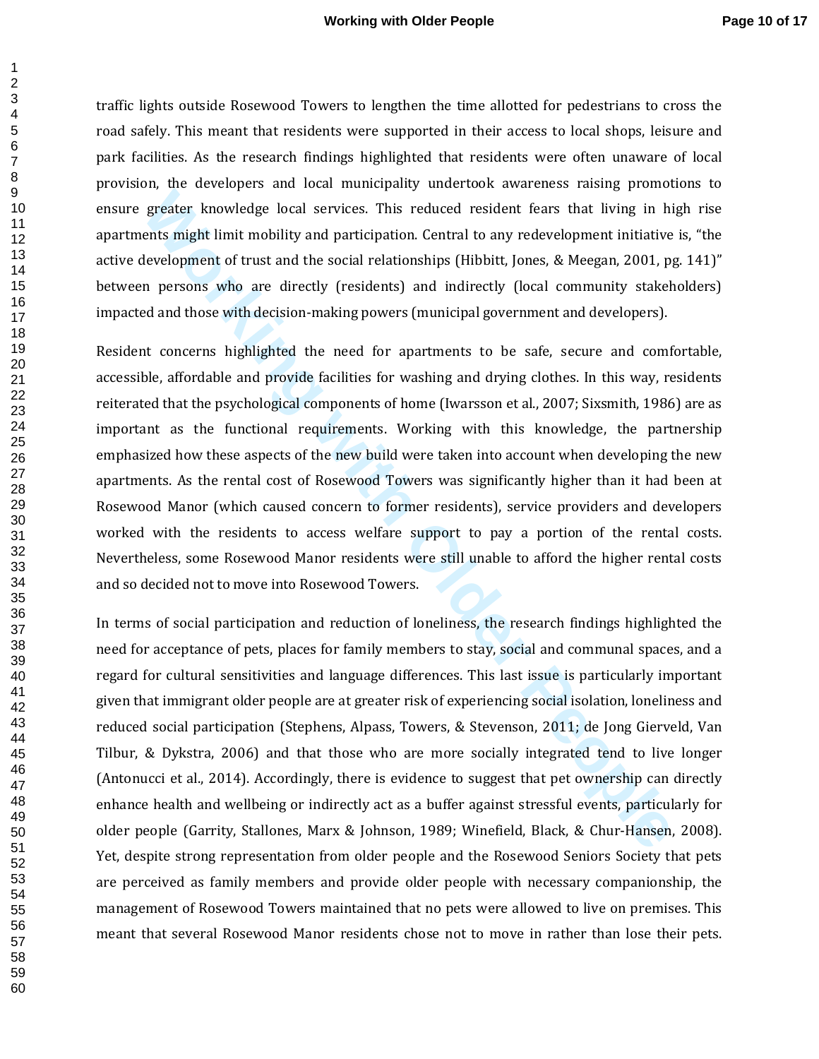### **Working with Older People Page 10 of 17 Page 10 of 17**

traffic lights outside Rosewood Towers to lengthen the time allotted for pedestrians to cross the road safely. This meant that residents were supported in their access to local shops, leisure and park facilities. As the research findings highlighted that residents were often unaware of local provision, the developers and local municipality undertook awareness raising promotions to ensure greater knowledge local services. This reduced resident fears that living in high rise apartments might limit mobility and participation. Central to any redevelopment initiative is, "the active development of trust and the social relationships (Hibbitt, Jones, & Meegan, 2001, pg. 141)" between persons who are directly (residents) and indirectly (local community stakeholders) impacted and those with decision-making powers (municipal government and developers).

greater knowledge local services. This reduced resident fears that living in higher greater knowledge local services. This reduced resident fears that living in highs that the several transmit of trust and the social relat Resident concerns highlighted the need for apartments to be safe, secure and comfortable, accessible, affordable and provide facilities for washing and drying clothes. In this way, residents reiterated that the psychological components of home (Iwarsson et al., 2007; Sixsmith, 1986) are as important as the functional requirements. Working with this knowledge, the partnership emphasized how these aspects of the new build were taken into account when developing the new apartments. As the rental cost of Rosewood Towers was significantly higher than it had been at Rosewood Manor (which caused concern to former residents), service providers and developers worked with the residents to access welfare support to pay a portion of the rental costs. Nevertheless, some Rosewood Manor residents were still unable to afford the higher rental costs and so decided not to move into Rosewood Towers.

In terms of social participation and reduction of loneliness, the research findings highlighted the need for acceptance of pets, places for family members to stay, social and communal spaces, and a regard for cultural sensitivities and language differences. This last issue is particularly important given that immigrant older people are at greater risk of experiencing social isolation, loneliness and reduced social participation (Stephens, Alpass, Towers, & Stevenson, 2011; de Jong Gierveld, Van Tilbur, & Dykstra, 2006) and that those who are more socially integrated tend to live longer (Antonucci et al., 2014). Accordingly, there is evidence to suggest that pet ownership can directly enhance health and wellbeing or indirectly act as a buffer against stressful events, particularly for older people (Garrity, Stallones, Marx & Johnson, 1989; Winefield, Black, & Chur-Hansen, 2008). Yet, despite strong representation from older people and the Rosewood Seniors Society that pets are perceived as family members and provide older people with necessary companionship, the management of Rosewood Towers maintained that no pets were allowed to live on premises. This meant that several Rosewood Manor residents chose not to move in rather than lose their pets.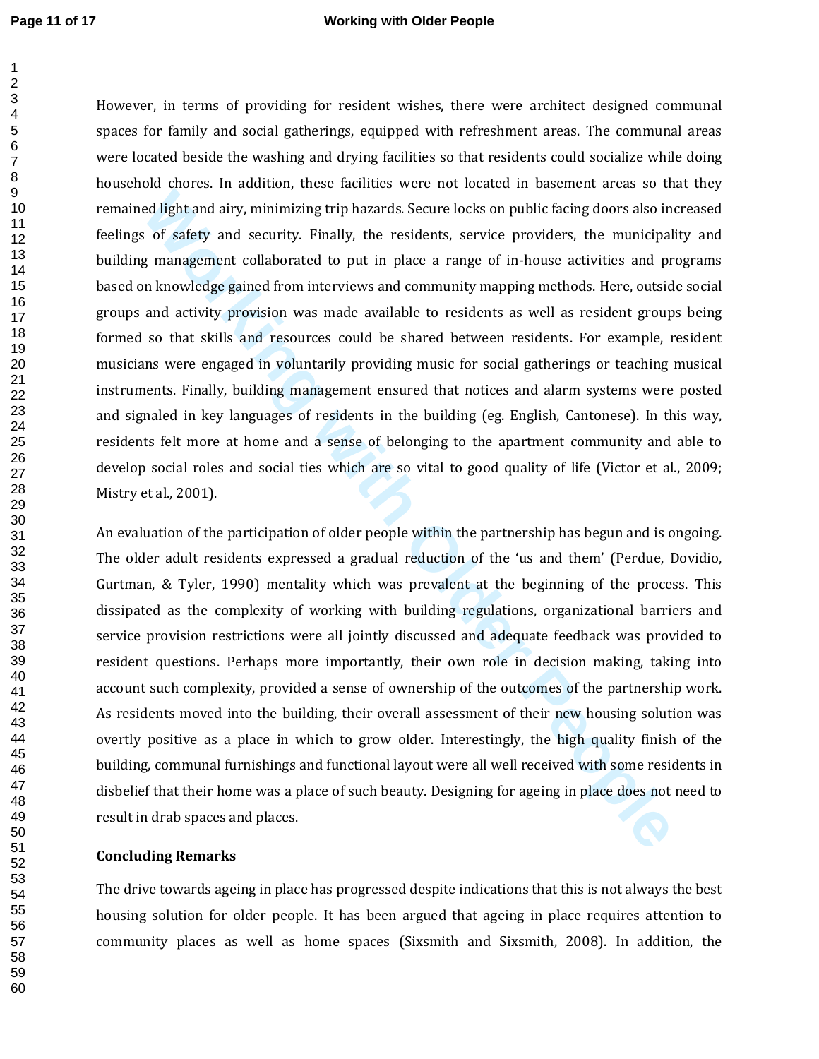### **Page 11 of 17 Working with Older People**

ed light and airy, minimizing trip hazards. Secure locks on public facing doors also in so f safety and security. Finally, the residents, service providers, the municipal gramagement collaborated to put in place a range of However, in terms of providing for resident wishes, there were architect designed communal spaces for family and social gatherings, equipped with refreshment areas. The communal areas were located beside the washing and drying facilities so that residents could socialize while doing household chores. In addition, these facilities were not located in basement areas so that they remained light and airy, minimizing trip hazards. Secure locks on public facing doors also increased feelings of safety and security. Finally, the residents, service providers, the municipality and building management collaborated to put in place a range of in-house activities and programs based on knowledge gained from interviews and community mapping methods. Here, outside social groups and activity provision was made available to residents as well as resident groups being formed so that skills and resources could be shared between residents. For example, resident musicians were engaged in voluntarily providing music for social gatherings or teaching musical instruments. Finally, building management ensured that notices and alarm systems were posted and signaled in key languages of residents in the building (eg. English, Cantonese). In this way, residents felt more at home and a sense of belonging to the apartment community and able to develop social roles and social ties which are so vital to good quality of life (Victor et al., 2009; Mistry et al., 2001).

An evaluation of the participation of older people within the partnership has begun and is ongoing. The older adult residents expressed a gradual reduction of the 'us and them' (Perdue, Dovidio, Gurtman, & Tyler, 1990) mentality which was prevalent at the beginning of the process. This dissipated as the complexity of working with building regulations, organizational barriers and service provision restrictions were all jointly discussed and adequate feedback was provided to resident questions. Perhaps more importantly, their own role in decision making, taking into account such complexity, provided a sense of ownership of the outcomes of the partnership work. As residents moved into the building, their overall assessment of their new housing solution was overtly positive as a place in which to grow older. Interestingly, the high quality finish of the building, communal furnishings and functional layout were all well received with some residents in disbelief that their home was a place of such beauty. Designing for ageing in place does not need to result in drab spaces and places.

### **Concluding Remarks**

The drive towards ageing in place has progressed despite indications that this is not always the best housing solution for older people. It has been argued that ageing in place requires attention to community places as well as home spaces (Sixsmith and Sixsmith, 2008). In addition, the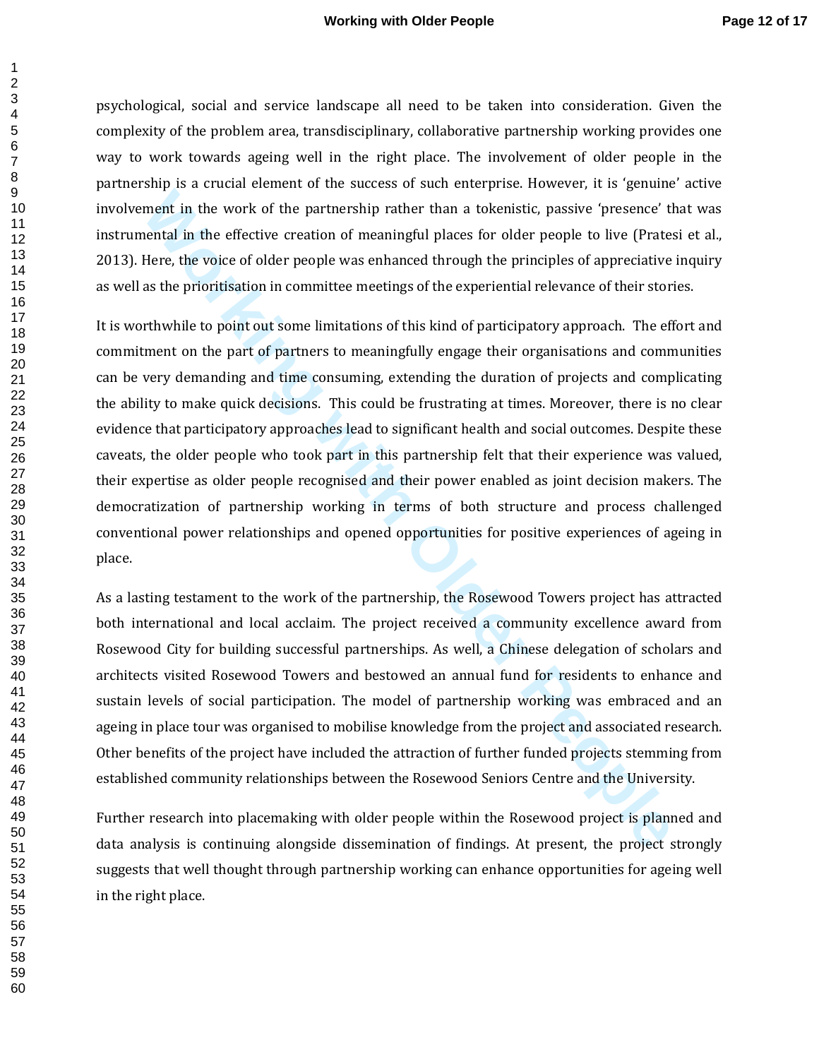psychological, social and service landscape all need to be taken into consideration. Given the complexity of the problem area, transdisciplinary, collaborative partnership working provides one way to work towards ageing well in the right place. The involvement of older people in the partnership is a crucial element of the success of such enterprise. However, it is 'genuine' active involvement in the work of the partnership rather than a tokenistic, passive 'presence' that was instrumental in the effective creation of meaningful places for older people to live (Pratesi et al., 2013). Here, the voice of older people was enhanced through the principles of appreciative inquiry as well as the prioritisation in committee meetings of the experiential relevance of their stories.

**Examental in the work of the partnership rather than a tokenistic, passive 'presence' the method in the effective creation of meaningful places for older people to live (Prate: Here, the voice of older people was enhanced** It is worthwhile to point out some limitations of this kind of participatory approach. The effort and commitment on the part of partners to meaningfully engage their organisations and communities can be very demanding and time consuming, extending the duration of projects and complicating the ability to make quick decisions. This could be frustrating at times. Moreover, there is no clear evidence that participatory approaches lead to significant health and social outcomes. Despite these caveats, the older people who took part in this partnership felt that their experience was valued, their expertise as older people recognised and their power enabled as joint decision makers. The democratization of partnership working in terms of both structure and process challenged conventional power relationships and opened opportunities for positive experiences of ageing in place.

As a lasting testament to the work of the partnership, the Rosewood Towers project has attracted both international and local acclaim. The project received a community excellence award from Rosewood City for building successful partnerships. As well, a Chinese delegation of scholars and architects visited Rosewood Towers and bestowed an annual fund for residents to enhance and sustain levels of social participation. The model of partnership working was embraced and an ageing in place tour was organised to mobilise knowledge from the project and associated research. Other benefits of the project have included the attraction of further funded projects stemming from established community relationships between the Rosewood Seniors Centre and the University.

Further research into placemaking with older people within the Rosewood project is planned and data analysis is continuing alongside dissemination of findings. At present, the project strongly suggests that well thought through partnership working can enhance opportunities for ageing well in the right place.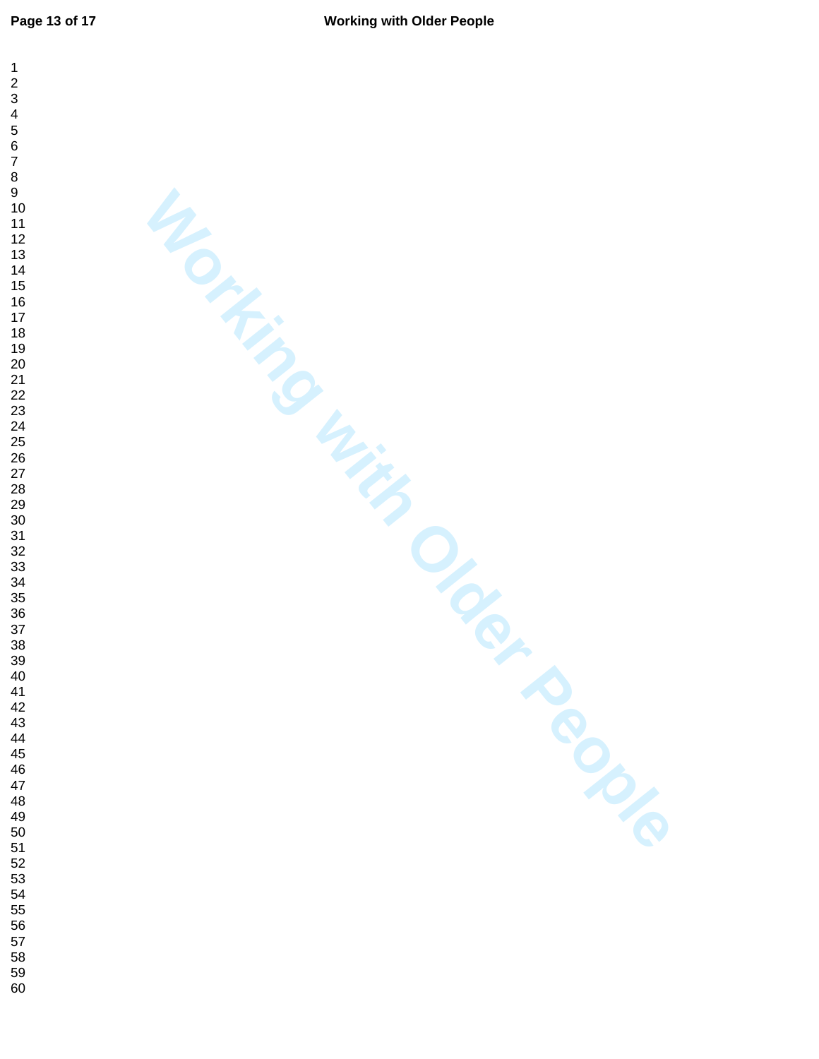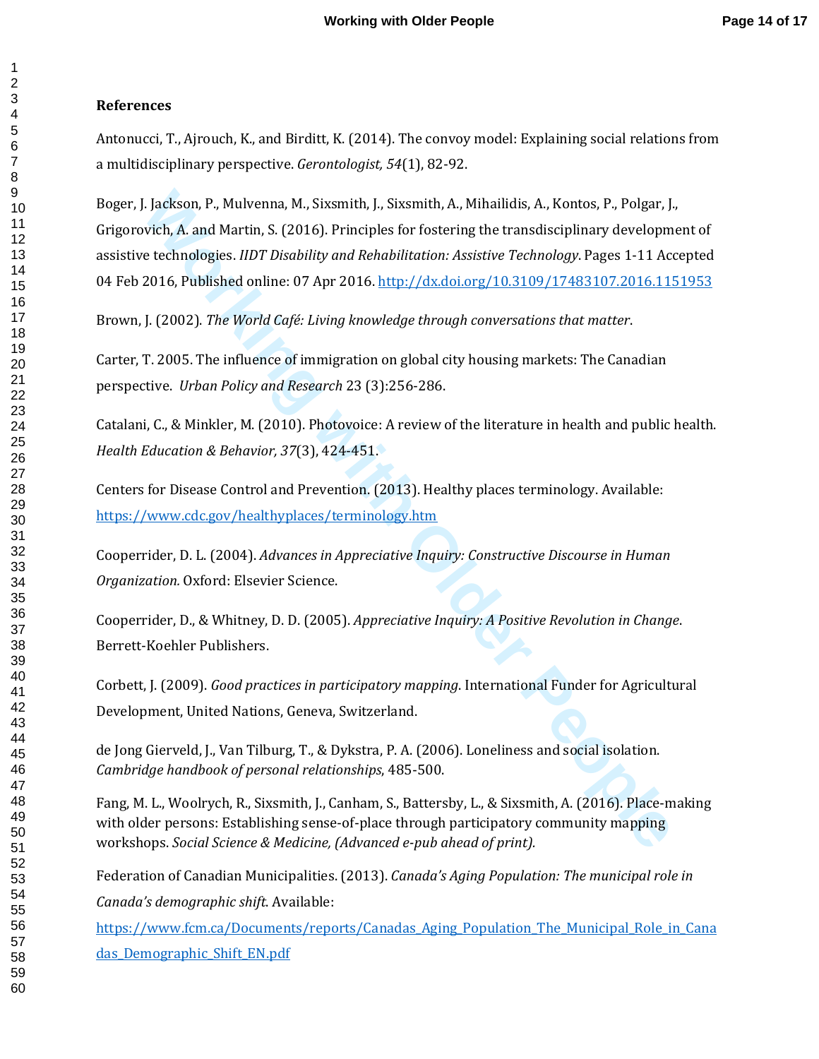### **References**

Antonucci, T., Ajrouch, K., and Birditt, K. (2014). The convoy model: Explaining social relations from a multidisciplinary perspective. *Gerontologist, 54*(1), 82-92.

J. Jackson, P., Mulvenna, M., Sixsmith, J., Sixsmith, A., Mihailidis, A., Kontos, P., Polgar, J.<br>virch, A. and Martin, S. (2016). Principles for fostering the transdisciplinary developmetechnologies. *HDT Disability and Re* Boger, J. Jackson, P., Mulvenna, M., Sixsmith, J., Sixsmith, A., Mihailidis, A., Kontos, P., Polgar, J., Grigorovich, A. and Martin, S. (2016). Principles for fostering the transdisciplinary development of assistive technologies. *IIDT Disability and Rehabilitation: Assistive Technology*. Pages 1-11 Accepted 04 Feb 2016, Published online: 07 Apr 2016. http://dx.doi.org/10.3109/17483107.2016.1151953

Brown, J. (2002). *The World Café: Living knowledge through conversations that matter*.

Carter, T. 2005. The influence of immigration on global city housing markets: The Canadian perspective. *Urban Policy and Research* 23 (3):256-286.

Catalani, C., & Minkler, M. (2010). Photovoice: A review of the literature in health and public health. *Health Education & Behavior, 37*(3), 424-451.

Centers for Disease Control and Prevention. (2013). Healthy places terminology. Available: https://www.cdc.gov/healthyplaces/terminology.htm

Cooperrider, D. L. (2004). *Advances in Appreciative Inquiry: Constructive Discourse in Human Organization.* Oxford: Elsevier Science.

Cooperrider, D., & Whitney, D. D. (2005). *Appreciative Inquiry: A Positive Revolution in Change*. Berrett-Koehler Publishers.

Corbett, J. (2009). *Good practices in participatory mapping*. International Funder for Agricultural Development, United Nations, Geneva, Switzerland.

de Jong Gierveld, J., Van Tilburg, T., & Dykstra, P. A. (2006). Loneliness and social isolation. *Cambridge handbook of personal relationships*, 485-500.

Fang, M. L., Woolrych, R., Sixsmith, J., Canham, S., Battersby, L., & Sixsmith, A. (2016). Place-making with older persons: Establishing sense-of-place through participatory community mapping workshops. *Social Science & Medicine, (Advanced e-pub ahead of print).*

Federation of Canadian Municipalities. (2013). *Canada's Aging Population: The municipal role in Canada's demographic shift*. Available:

https://www.fcm.ca/Documents/reports/Canadas Aging Population The Municipal Role in Cana das\_Demographic\_Shift\_EN.pdf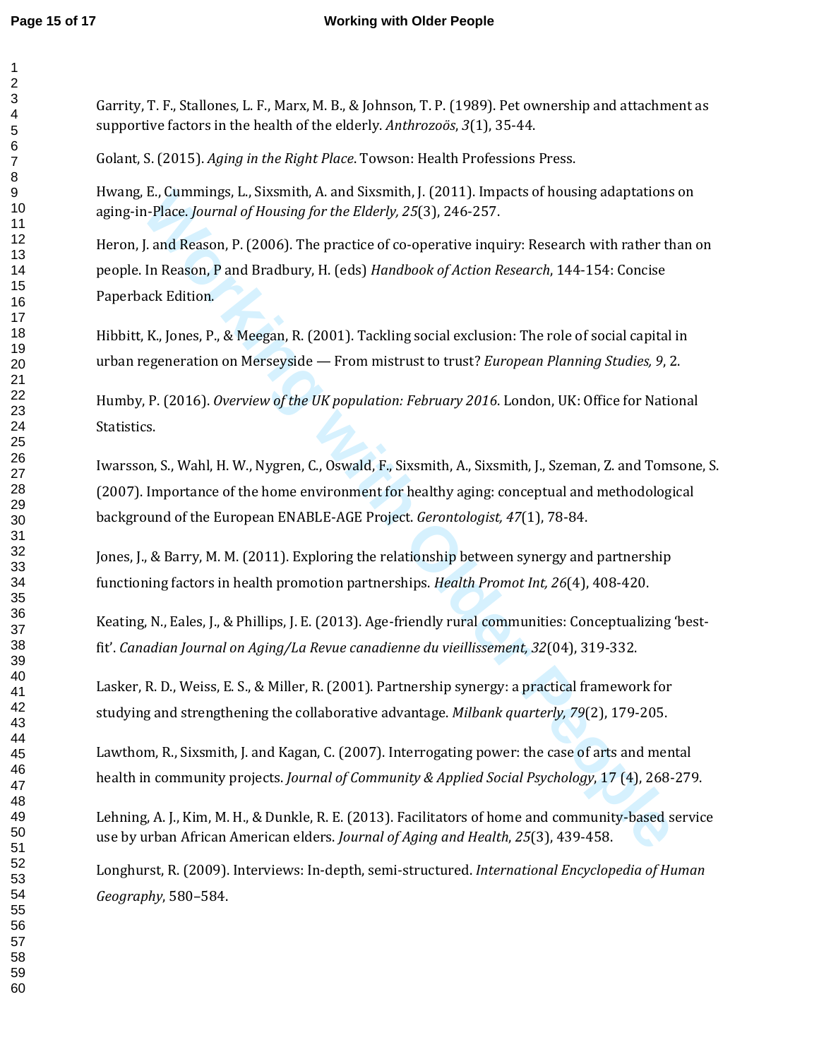Garrity, T. F., Stallones, L. F., Marx, M. B., & Johnson, T. P. (1989). Pet ownership and attachment as supportive factors in the health of the elderly. *Anthrozoös*, *3*(1), 35-44.

Golant, S. (2015). *Aging in the Right Place*. Towson: Health Professions Press.

Hwang, E., Cummings, L., Sixsmith, A. and Sixsmith, J. (2011). Impacts of housing adaptations on aging-in-Place. *Journal of Housing for the Elderly, 25*(3), 246-257.

*F.*, *C.*, (ummings, L., Sixsmith, A. and Sixsmith, 1. (2011). Impacts of housing adaptations<br> *R. P. (ummings, L., Sixsmith, A. and Sixsmith, 1. (2011). Impacts of housing adaptations*<br> *J.* and Reason, P. (2006). The pr Heron, J. and Reason, P. (2006). The practice of co-operative inquiry: Research with rather than on people. In Reason, P and Bradbury, H. (eds) *Handbook of Action Research*, 144-154: Concise Paperback Edition.

Hibbitt, K., Jones, P., & Meegan, R. (2001). Tackling social exclusion: The role of social capital in urban regeneration on Merseyside — From mistrust to trust? *European Planning Studies, 9*, 2.

Humby, P. (2016). *Overview of the UK population: February 2016*. London, UK: Office for National Statistics.

Iwarsson, S., Wahl, H. W., Nygren, C., Oswald, F., Sixsmith, A., Sixsmith, J., Szeman, Z. and Tomsone, S. (2007). Importance of the home environment for healthy aging: conceptual and methodological background of the European ENABLE-AGE Project. *Gerontologist, 47*(1), 78-84.

Jones, J., & Barry, M. M. (2011). Exploring the relationship between synergy and partnership functioning factors in health promotion partnerships. *Health Promot Int, 26*(4), 408-420.

Keating, N., Eales, J., & Phillips, J. E. (2013). Age-friendly rural communities: Conceptualizing 'bestfit'. *Canadian Journal on Aging/La Revue canadienne du vieillissement, 32*(04), 319-332.

Lasker, R. D., Weiss, E. S., & Miller, R. (2001). Partnership synergy: a practical framework for studying and strengthening the collaborative advantage. *Milbank quarterly, 79*(2), 179-205.

Lawthom, R., Sixsmith, J. and Kagan, C. (2007). Interrogating power: the case of arts and mental health in community projects. *Journal of Community & Applied Social Psychology*, 17 (4), 268-279.

Lehning, A. J., Kim, M. H., & Dunkle, R. E. (2013). Facilitators of home and community-based service use by urban African American elders. *Journal of Aging and Health*, *25*(3), 439-458.

Longhurst, R. (2009). Interviews: In-depth, semi-structured. *International Encyclopedia of Human Geography*, 580–584.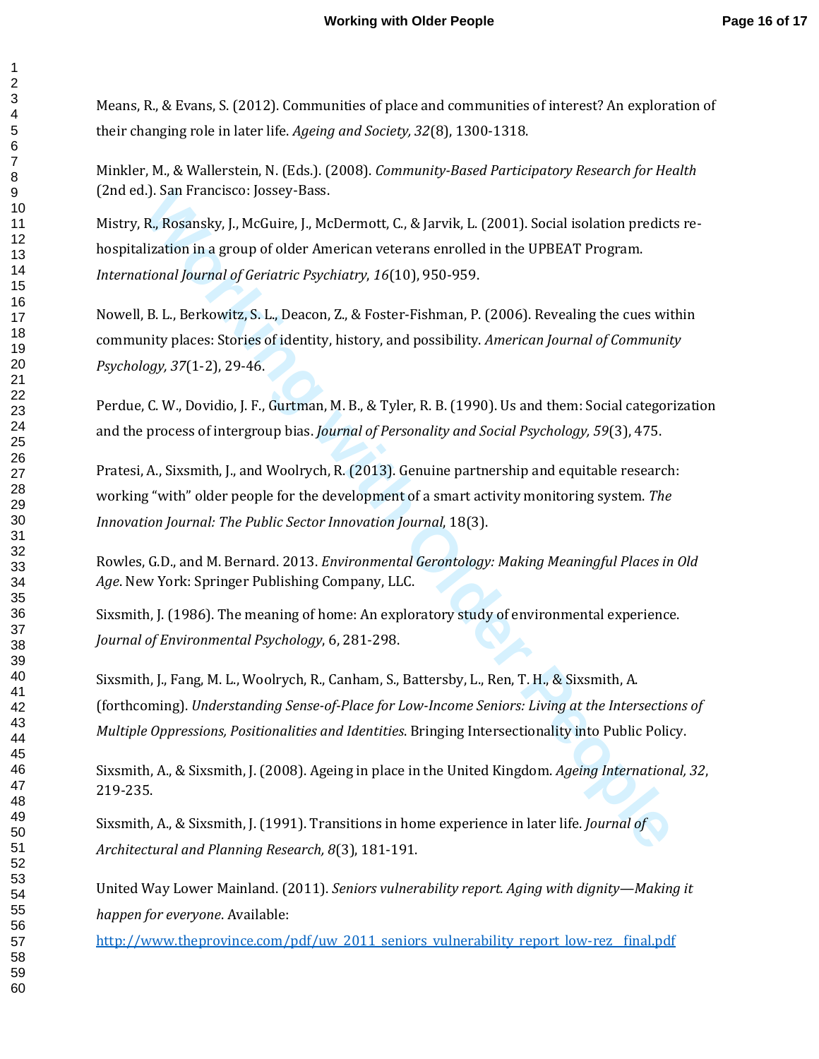Means, R., & Evans, S. (2012). Communities of place and communities of interest? An exploration of their changing role in later life. *Ageing and Society, 32*(8), 1300-1318.

Minkler, M., & Wallerstein, N. (Eds.). (2008). *Community-Based Participatory Research for Health* (2nd ed.). San Francisco: Jossey-Bass.

Mistry, R., Rosansky, J., McGuire, J., McDermott, C., & Jarvik, L. (2001). Social isolation predicts rehospitalization in a group of older American veterans enrolled in the UPBEAT Program. *International Journal of Geriatric Psychiatry*, *16*(10), 950-959.

Nowell, B. L., Berkowitz, S. L., Deacon, Z., & Foster-Fishman, P. (2006). Revealing the cues within community places: Stories of identity, history, and possibility. *American Journal of Community Psychology, 37*(1-2), 29-46.

Perdue, C. W., Dovidio, J. F., Gurtman, M. B., & Tyler, R. B. (1990). Us and them: Social categorization and the process of intergroup bias. *Journal of Personality and Social Psychology, 59*(3), 475.

Pratesi, A., Sixsmith, J., and Woolrych, R. (2013). Genuine partnership and equitable research: working "with" older people for the development of a smart activity monitoring system. *The Innovation Journal: The Public Sector Innovation Journal*, 18(3).

Rowles, G.D., and M. Bernard. 2013. *Environmental Gerontology: Making Meaningful Places in Old Age*. New York: Springer Publishing Company, LLC.

Sixsmith, J. (1986). The meaning of home: An exploratory study of environmental experience. *Journal of Environmental Psychology*, 6, 281-298.

1). San Francisco: Jossey-Bass.<br>
R., Rossnsky, J., McGuire, J., McDermott, C., & Jarvik, L. (2001). Social isolation predict<br>
Idization in a group of older American veterans enrolled in the UPBEAT Program.<br>
Idization in a Sixsmith, J., Fang, M. L., Woolrych, R., Canham, S., Battersby, L., Ren, T. H., & Sixsmith, A. (forthcoming). *Understanding Sense-of-Place for Low-Income Seniors: Living at the Intersections of Multiple Oppressions, Positionalities and Identities*. Bringing Intersectionality into Public Policy.

Sixsmith, A., & Sixsmith, J. (2008). Ageing in place in the United Kingdom. *Ageing International, 32*, 219-235.

Sixsmith, A., & Sixsmith, J. (1991). Transitions in home experience in later life. *Journal of Architectural and Planning Research, 8*(3), 181-191.

United Way Lower Mainland. (2011). *Seniors vulnerability report. Aging with dignity—Making it happen for everyone*. Available:

http://www.theprovince.com/pdf/uw\_2011\_seniors\_vulnerability\_report\_low-rez\_final.pdf